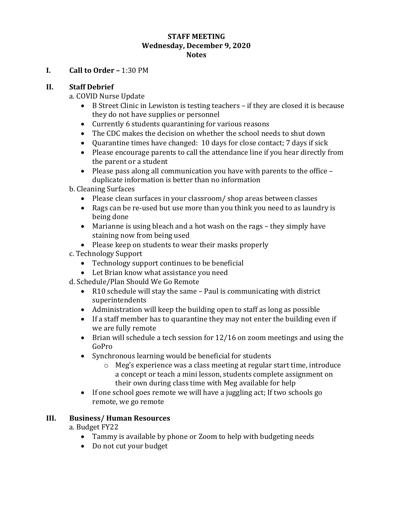#### **STAFF MEETING Wednesday, December 9, 2020 Notes**

### **I. Call to Order –** 1:30 PM

### **II. Staff Debrief**

a. COVID Nurse Update

- B Street Clinic in Lewiston is testing teachers if they are closed it is because they do not have supplies or personnel
- Currently 6 students quarantining for various reasons
- The CDC makes the decision on whether the school needs to shut down
- Quarantine times have changed: 10 days for close contact; 7 days if sick
- Please encourage parents to call the attendance line if you hear directly from the parent or a student
- Please pass along all communication you have with parents to the office duplicate information is better than no information
- b. Cleaning Surfaces
	- Please clean surfaces in your classroom/ shop areas between classes
	- Rags can be re-used but use more than you think you need to as laundry is being done
	- Marianne is using bleach and a hot wash on the rags they simply have staining now from being used
	- Please keep on students to wear their masks properly
- c. Technology Support
	- Technology support continues to be beneficial
	- Let Brian know what assistance you need
- d. Schedule/Plan Should We Go Remote
	- R10 schedule will stay the same Paul is communicating with district superintendents
	- Administration will keep the building open to staff as long as possible
	- If a staff member has to quarantine they may not enter the building even if we are fully remote
	- Brian will schedule a tech session for 12/16 on zoom meetings and using the GoPro
	- Synchronous learning would be beneficial for students
		- o Meg's experience was a class meeting at regular start time, introduce a concept or teach a mini lesson, students complete assignment on their own during class time with Meg available for help
	- If one school goes remote we will have a juggling act; If two schools go remote, we go remote

### **III. Business/ Human Resources**

a. Budget FY22

- Tammy is available by phone or Zoom to help with budgeting needs
- Do not cut your budget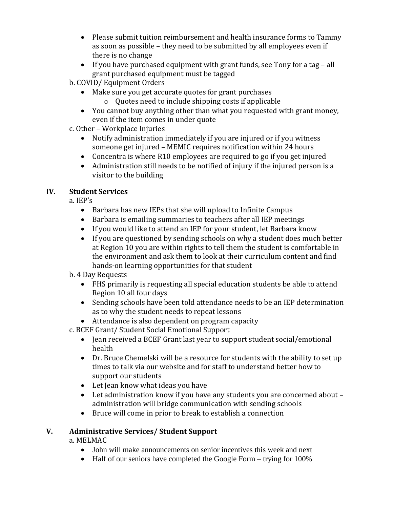- Please submit tuition reimbursement and health insurance forms to Tammy as soon as possible – they need to be submitted by all employees even if there is no change
- If you have purchased equipment with grant funds, see Tony for a tag all grant purchased equipment must be tagged

b. COVID/ Equipment Orders

- Make sure you get accurate quotes for grant purchases
	- o Quotes need to include shipping costs if applicable
- You cannot buy anything other than what you requested with grant money, even if the item comes in under quote

c. Other – Workplace Injuries

- Notify administration immediately if you are injured or if you witness someone get injured – MEMIC requires notification within 24 hours
- Concentra is where R10 employees are required to go if you get injured
- Administration still needs to be notified of injury if the injured person is a visitor to the building

# **IV. Student Services**

a. IEP's

- Barbara has new IEPs that she will upload to Infinite Campus
- Barbara is emailing summaries to teachers after all IEP meetings
- If you would like to attend an IEP for your student, let Barbara know
- If you are questioned by sending schools on why a student does much better at Region 10 you are within rights to tell them the student is comfortable in the environment and ask them to look at their curriculum content and find hands-on learning opportunities for that student

b. 4 Day Requests

- FHS primarily is requesting all special education students be able to attend Region 10 all four days
- Sending schools have been told attendance needs to be an IEP determination as to why the student needs to repeat lessons
- Attendance is also dependent on program capacity

c. BCEF Grant/ Student Social Emotional Support

- Jean received a BCEF Grant last year to support student social/emotional health
- Dr. Bruce Chemelski will be a resource for students with the ability to set up times to talk via our website and for staff to understand better how to support our students
- Let Jean know what ideas you have
- Let administration know if you have any students you are concerned about administration will bridge communication with sending schools
- Bruce will come in prior to break to establish a connection

# **V. Administrative Services/ Student Support**

a. MELMAC

- John will make announcements on senior incentives this week and next
- Half of our seniors have completed the Google Form trying for 100%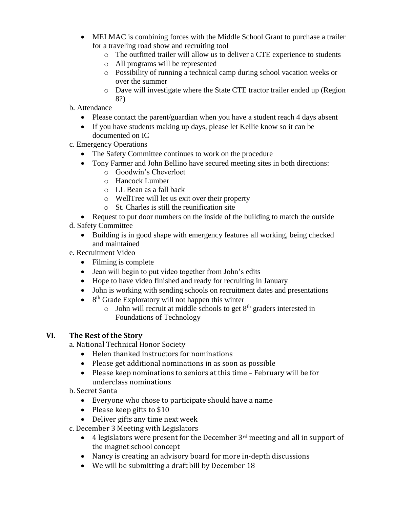- MELMAC is combining forces with the Middle School Grant to purchase a trailer for a traveling road show and recruiting tool
	- o The outfitted trailer will allow us to deliver a CTE experience to students
	- o All programs will be represented
	- o Possibility of running a technical camp during school vacation weeks or over the summer
	- o Dave will investigate where the State CTE tractor trailer ended up (Region 8?)
- b. Attendance
	- Please contact the parent/guardian when you have a student reach 4 days absent
	- If you have students making up days, please let Kellie know so it can be documented on IC
- c. Emergency Operations
	- The Safety Committee continues to work on the procedure
	- Tony Farmer and John Bellino have secured meeting sites in both directions:
		- o Goodwin's Cheverloet
		- o Hancock Lumber
		- o LL Bean as a fall back
		- o WellTree will let us exit over their property
		- o St. Charles is still the reunification site
	- Request to put door numbers on the inside of the building to match the outside
- d. Safety Committee
	- Building is in good shape with emergency features all working, being checked and maintained
- e. Recruitment Video
	- Filming is complete
	- Jean will begin to put video together from John's edits
	- Hope to have video finished and ready for recruiting in January
	- John is working with sending schools on recruitment dates and presentations
	- $\bullet$  8<sup>th</sup> Grade Exploratory will not happen this winter
		- $\circ$  John will recruit at middle schools to get  $8<sup>th</sup>$  graders interested in Foundations of Technology

## **VI. The Rest of the Story**

a. National Technical Honor Society

- Helen thanked instructors for nominations
- Please get additional nominations in as soon as possible
- Please keep nominations to seniors at this time February will be for underclass nominations
- b. Secret Santa
	- Everyone who chose to participate should have a name
	- Please keep gifts to \$10
	- Deliver gifts any time next week
- c. December 3 Meeting with Legislators
	- $\bullet$  4 legislators were present for the December 3<sup>rd</sup> meeting and all in support of the magnet school concept
	- Nancy is creating an advisory board for more in-depth discussions
	- We will be submitting a draft bill by December 18